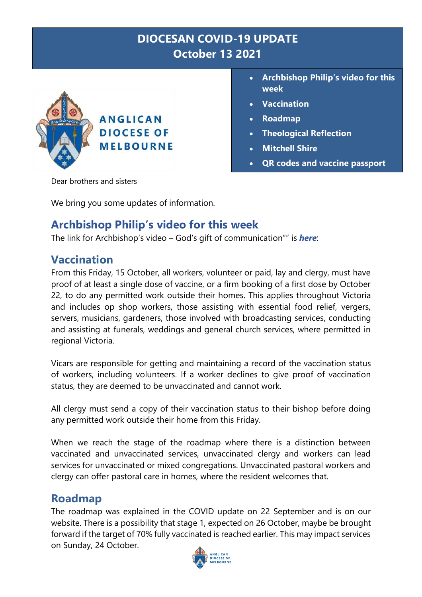# **DIOCESAN COVID-19 UPDATE October 13 2021**



- **Archbishop Philip's video for this week**
- **Vaccination**
- **Roadmap**
- **Theological Reflection**
- **Mitchell Shire**
- **QR codes and vaccine passport**

Dear brothers and sisters

We bring you some updates of information.

## **Archbishop Philip's video for this week**

The link for Archbishop's video – God's gift of communication"" is *[here](https://youtu.be/rh1rza2wZCs)*:

## **Vaccination**

From this Friday, 15 October, all workers, volunteer or paid, lay and clergy, must have proof of at least a single dose of vaccine, or a firm booking of a first dose by October 22, to do any permitted work outside their homes. This applies throughout Victoria and includes op shop workers, those assisting with essential food relief, vergers, servers, musicians, gardeners, those involved with broadcasting services, conducting and assisting at funerals, weddings and general church services, where permitted in regional Victoria.

Vicars are responsible for getting and maintaining a record of the vaccination status of workers, including volunteers. If a worker declines to give proof of vaccination status, they are deemed to be unvaccinated and cannot work.

All clergy must send a copy of their vaccination status to their bishop before doing any permitted work outside their home from this Friday.

When we reach the stage of the roadmap where there is a distinction between vaccinated and unvaccinated services, unvaccinated clergy and workers can lead services for unvaccinated or mixed congregations. Unvaccinated pastoral workers and clergy can offer pastoral care in homes, where the resident welcomes that.

## **Roadmap**

The roadmap was explained in the COVID update on 22 September and is on our website. There is a possibility that stage 1, expected on 26 October, maybe be brought forward if the target of 70% fully vaccinated is reached earlier. This may impact services on Sunday, 24 October.